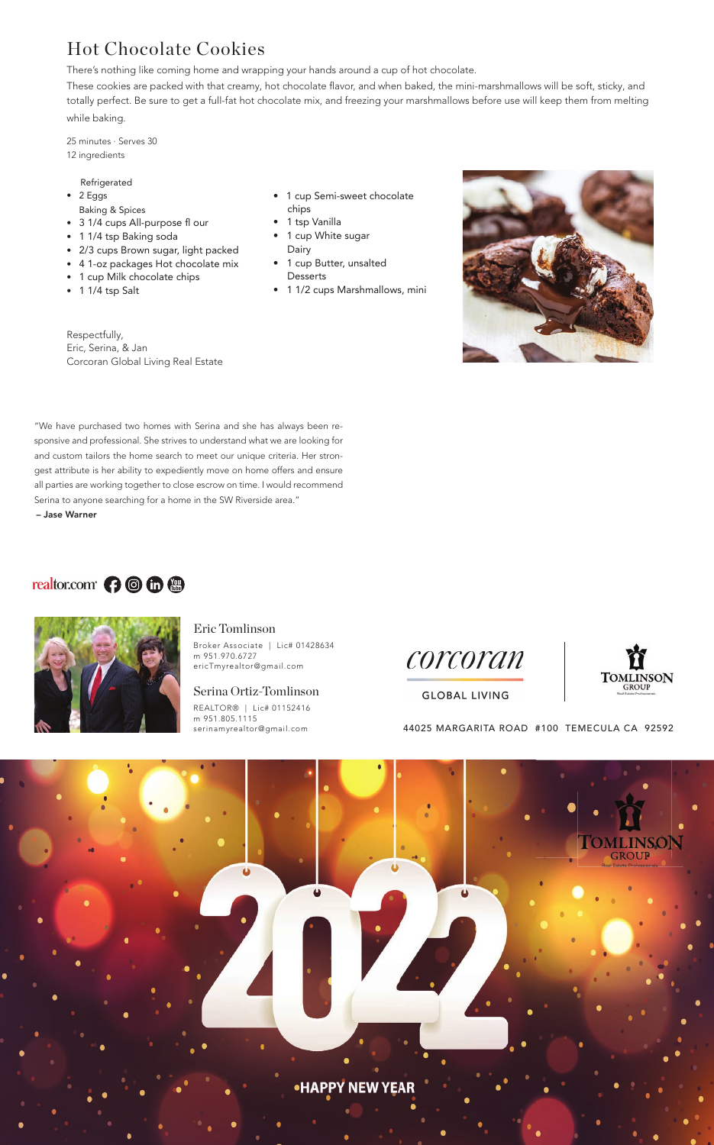## Hot Chocolate Cookies

There's nothing like coming home and wrapping your hands around a cup of hot chocolate.

These cookies are packed with that creamy, hot chocolate flavor, and when baked, the mini-marshmallows will be soft, sticky, and totally perfect. Be sure to get a full-fat hot chocolate mix, and freezing your marshmallows before use will keep them from melting while baking.

- 2 Eggs Baking & Spices
- 3 1/4 cups All-purpose fl our
- 1 1/4 tsp Baking soda
- 2/3 cups Brown sugar, light packed
- 4 1-oz packages Hot chocolate mix
- 1 cup Milk chocolate chips
- 1 1/4 tsp Salt

25 minutes · Serves 30 12 ingredients

#### Refrigerated

Respectfully, Eric, Serina, & Jan Corcoran Global Living Real Estate

- 1 cup Semi-sweet chocolate chips
- 1 tsp Vanilla
- 1 cup White sugar Dairy
- 1 cup Butter, unsalted **Desserts**
- 1 1/2 cups Marshmallows, mini



"We have purchased two homes with Serina and she has always been responsive and professional. She strives to understand what we are looking for and custom tailors the home search to meet our unique criteria. Her strongest attribute is her ability to expediently move on home offers and ensure all parties are working together to close escrow on time. I would recommend Serina to anyone searching for a home in the SW Riverside area." – Jase Warner

## realtor.com<sup>c</sup> ( ) **to the compact of the C**



#### Eric Tomlinson

Broker Associate | Lic# 01428634 m 951.970.6727 ericTmyrealtor@gmail.com

#### Serina Ortiz-Tomlinson

REALTOR® | Lic# 01152416 m 951.805.1115





### **GLOBAL LIVING**

44025 MARGARITA ROAD #100 TEMECULA CA 92592





**•HAPPY NEW YEAR**